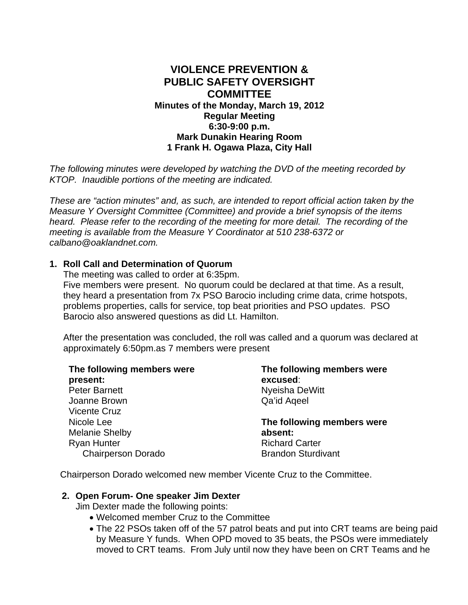# **VIOLENCE PREVENTION & PUBLIC SAFETY OVERSIGHT COMMITTEE Minutes of the Monday, March 19, 2012 Regular Meeting 6:30-9:00 p.m. Mark Dunakin Hearing Room 1 Frank H. Ogawa Plaza, City Hall**

*The following minutes were developed by watching the DVD of the meeting recorded by KTOP. Inaudible portions of the meeting are indicated.* 

*These are "action minutes" and, as such, are intended to report official action taken by the Measure Y Oversight Committee (Committee) and provide a brief synopsis of the items heard. Please refer to the recording of the meeting for more detail. The recording of the meeting is available from the Measure Y Coordinator at 510 238-6372 or calbano@oaklandnet.com.* 

### **1. Roll Call and Determination of Quorum**

The meeting was called to order at 6:35pm. Five members were present. No quorum could be declared at that time. As a result, they heard a presentation from 7x PSO Barocio including crime data, crime hotspots, problems properties, calls for service, top beat priorities and PSO updates. PSO Barocio also answered questions as did Lt. Hamilton.

After the presentation was concluded, the roll was called and a quorum was declared at approximately 6:50pm.as 7 members were present

| The following members were<br>present: | The following members were<br>excused: |
|----------------------------------------|----------------------------------------|
| <b>Peter Barnett</b>                   | Nyeisha DeWitt                         |
| Joanne Brown                           | Qa'id Ageel                            |
| <b>Vicente Cruz</b>                    |                                        |
| Nicole Lee                             | The following members were             |
| <b>Melanie Shelby</b>                  | absent:                                |
| <b>Ryan Hunter</b>                     | <b>Richard Carter</b>                  |
| <b>Chairperson Dorado</b>              | <b>Brandon Sturdivant</b>              |

Chairperson Dorado welcomed new member Vicente Cruz to the Committee.

#### **2. Open Forum- One speaker Jim Dexter**

Jim Dexter made the following points:

- Welcomed member Cruz to the Committee
- The 22 PSOs taken off of the 57 patrol beats and put into CRT teams are being paid by Measure Y funds. When OPD moved to 35 beats, the PSOs were immediately moved to CRT teams. From July until now they have been on CRT Teams and he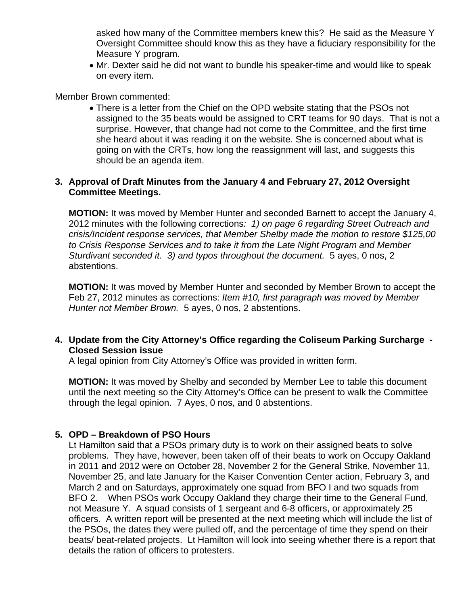asked how many of the Committee members knew this? He said as the Measure Y Oversight Committee should know this as they have a fiduciary responsibility for the Measure Y program.

• Mr. Dexter said he did not want to bundle his speaker-time and would like to speak on every item.

Member Brown commented:

• There is a letter from the Chief on the OPD website stating that the PSOs not assigned to the 35 beats would be assigned to CRT teams for 90 days. That is not a surprise. However, that change had not come to the Committee, and the first time she heard about it was reading it on the website. She is concerned about what is going on with the CRTs, how long the reassignment will last, and suggests this should be an agenda item.

## **3. Approval of Draft Minutes from the January 4 and February 27, 2012 Oversight Committee Meetings.**

**MOTION:** It was moved by Member Hunter and seconded Barnett to accept the January 4, 2012 minutes with the following corrections*: 1) on page 6 regarding Street Outreach and crisis/Incident response services, that Member Shelby made the motion to restore \$125,00 to Crisis Response Services and to take it from the Late Night Program and Member Sturdivant seconded it. 3) and typos throughout the document.* 5 ayes, 0 nos, 2 abstentions.

**MOTION:** It was moved by Member Hunter and seconded by Member Brown to accept the Feb 27, 2012 minutes as corrections: *Item #10, first paragraph was moved by Member Hunter not Member Brown.* 5 ayes, 0 nos, 2 abstentions.

## **4. Update from the City Attorney's Office regarding the Coliseum Parking Surcharge - Closed Session issue**

A legal opinion from City Attorney's Office was provided in written form.

**MOTION:** It was moved by Shelby and seconded by Member Lee to table this document until the next meeting so the City Attorney's Office can be present to walk the Committee through the legal opinion. 7 Ayes, 0 nos, and 0 abstentions.

### **5. OPD – Breakdown of PSO Hours**

Lt Hamilton said that a PSOs primary duty is to work on their assigned beats to solve problems. They have, however, been taken off of their beats to work on Occupy Oakland in 2011 and 2012 were on October 28, November 2 for the General Strike, November 11, November 25, and late January for the Kaiser Convention Center action, February 3, and March 2 and on Saturdays, approximately one squad from BFO I and two squads from BFO 2. When PSOs work Occupy Oakland they charge their time to the General Fund, not Measure Y. A squad consists of 1 sergeant and 6-8 officers, or approximately 25 officers. A written report will be presented at the next meeting which will include the list of the PSOs, the dates they were pulled off, and the percentage of time they spend on their beats/ beat-related projects. Lt Hamilton will look into seeing whether there is a report that details the ration of officers to protesters.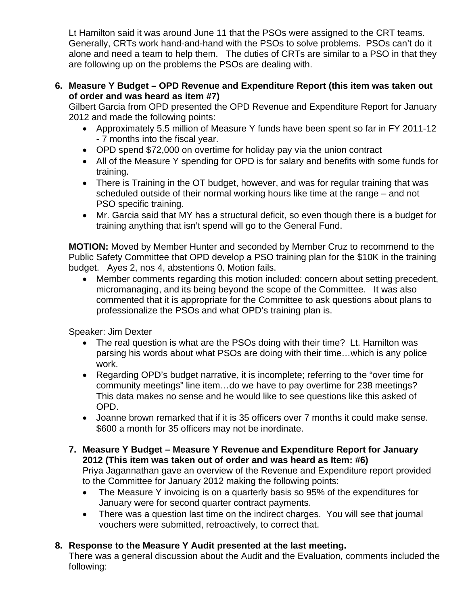Lt Hamilton said it was around June 11 that the PSOs were assigned to the CRT teams. Generally, CRTs work hand-and-hand with the PSOs to solve problems. PSOs can't do it alone and need a team to help them. The duties of CRTs are similar to a PSO in that they are following up on the problems the PSOs are dealing with.

# **6. Measure Y Budget – OPD Revenue and Expenditure Report (this item was taken out of order and was heard as item #7)**

Gilbert Garcia from OPD presented the OPD Revenue and Expenditure Report for January 2012 and made the following points:

- Approximately 5.5 million of Measure Y funds have been spent so far in FY 2011-12 - 7 months into the fiscal year.
- OPD spend \$72,000 on overtime for holiday pay via the union contract
- All of the Measure Y spending for OPD is for salary and benefits with some funds for training.
- There is Training in the OT budget, however, and was for regular training that was scheduled outside of their normal working hours like time at the range – and not PSO specific training.
- Mr. Garcia said that MY has a structural deficit, so even though there is a budget for training anything that isn't spend will go to the General Fund.

**MOTION:** Moved by Member Hunter and seconded by Member Cruz to recommend to the Public Safety Committee that OPD develop a PSO training plan for the \$10K in the training budget. Ayes 2, nos 4, abstentions 0. Motion fails.

• Member comments regarding this motion included: concern about setting precedent, micromanaging, and its being beyond the scope of the Committee. It was also commented that it is appropriate for the Committee to ask questions about plans to professionalize the PSOs and what OPD's training plan is.

Speaker: Jim Dexter

- The real question is what are the PSOs doing with their time? Lt. Hamilton was parsing his words about what PSOs are doing with their time…which is any police work.
- Regarding OPD's budget narrative, it is incomplete; referring to the "over time for community meetings" line item…do we have to pay overtime for 238 meetings? This data makes no sense and he would like to see questions like this asked of OPD.
- Joanne brown remarked that if it is 35 officers over 7 months it could make sense. \$600 a month for 35 officers may not be inordinate.

# **7. Measure Y Budget – Measure Y Revenue and Expenditure Report for January 2012 (This item was taken out of order and was heard as Item: #6)**

Priya Jagannathan gave an overview of the Revenue and Expenditure report provided to the Committee for January 2012 making the following points:

- The Measure Y invoicing is on a quarterly basis so 95% of the expenditures for January were for second quarter contract payments.
- There was a question last time on the indirect charges. You will see that journal vouchers were submitted, retroactively, to correct that.

# **8. Response to the Measure Y Audit presented at the last meeting.**

There was a general discussion about the Audit and the Evaluation, comments included the following: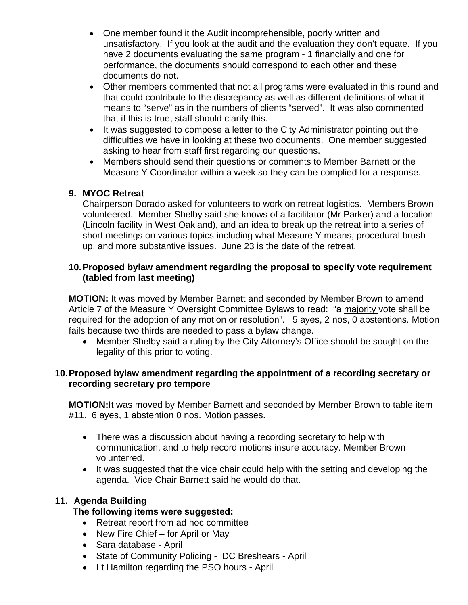- One member found it the Audit incomprehensible, poorly written and unsatisfactory. If you look at the audit and the evaluation they don't equate. If you have 2 documents evaluating the same program - 1 financially and one for performance, the documents should correspond to each other and these documents do not.
- Other members commented that not all programs were evaluated in this round and that could contribute to the discrepancy as well as different definitions of what it means to "serve" as in the numbers of clients "served". It was also commented that if this is true, staff should clarify this.
- It was suggested to compose a letter to the City Administrator pointing out the difficulties we have in looking at these two documents. One member suggested asking to hear from staff first regarding our questions.
- Members should send their questions or comments to Member Barnett or the Measure Y Coordinator within a week so they can be complied for a response.

# **9. MYOC Retreat**

Chairperson Dorado asked for volunteers to work on retreat logistics. Members Brown volunteered. Member Shelby said she knows of a facilitator (Mr Parker) and a location (Lincoln facility in West Oakland), and an idea to break up the retreat into a series of short meetings on various topics including what Measure Y means, procedural brush up, and more substantive issues. June 23 is the date of the retreat.

### **10. Proposed bylaw amendment regarding the proposal to specify vote requirement (tabled from last meeting)**

**MOTION:** It was moved by Member Barnett and seconded by Member Brown to amend Article 7 of the Measure Y Oversight Committee Bylaws to read: "a majority vote shall be required for the adoption of any motion or resolution". 5 ayes, 2 nos, 0 abstentions. Motion fails because two thirds are needed to pass a bylaw change.

• Member Shelby said a ruling by the City Attorney's Office should be sought on the legality of this prior to voting.

### **10. Proposed bylaw amendment regarding the appointment of a recording secretary or recording secretary pro tempore**

**MOTION:**It was moved by Member Barnett and seconded by Member Brown to table item #11. 6 ayes, 1 abstention 0 nos. Motion passes.

- There was a discussion about having a recording secretary to help with communication, and to help record motions insure accuracy. Member Brown volunterred.
- It was suggested that the vice chair could help with the setting and developing the agenda. Vice Chair Barnett said he would do that.

### **11. Agenda Building**

### **The following items were suggested:**

- Retreat report from ad hoc committee
- New Fire Chief for April or May
- Sara database April
- State of Community Policing DC Breshears April
- Lt Hamilton regarding the PSO hours April